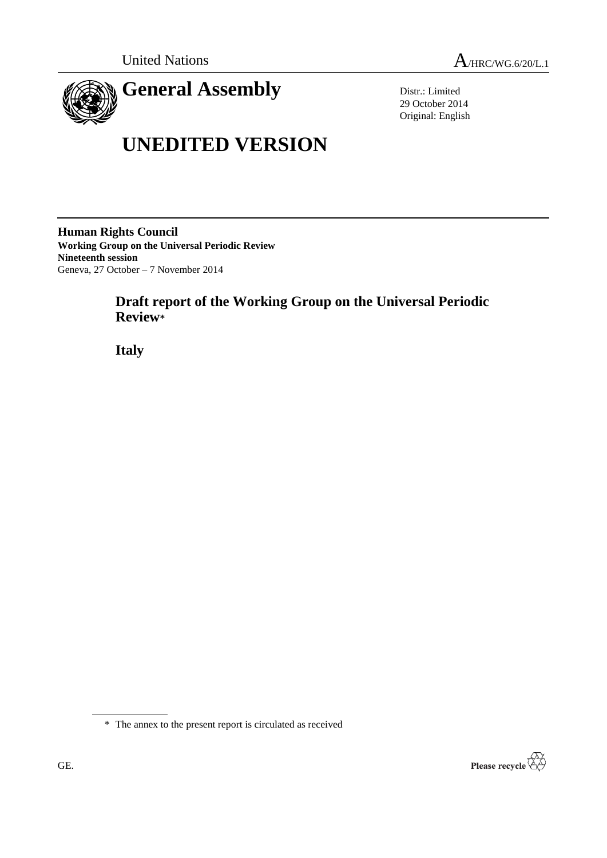

# **UNEDITED VERSION**

Distr.: Limited 29 October 2014 Original: English

**Human Rights Council Working Group on the Universal Periodic Review Nineteenth session** Geneva, 27 October – 7 November 2014

# **Draft report of the Working Group on the Universal Periodic Review\***

**Italy**



<sup>\*</sup> The annex to the present report is circulated as received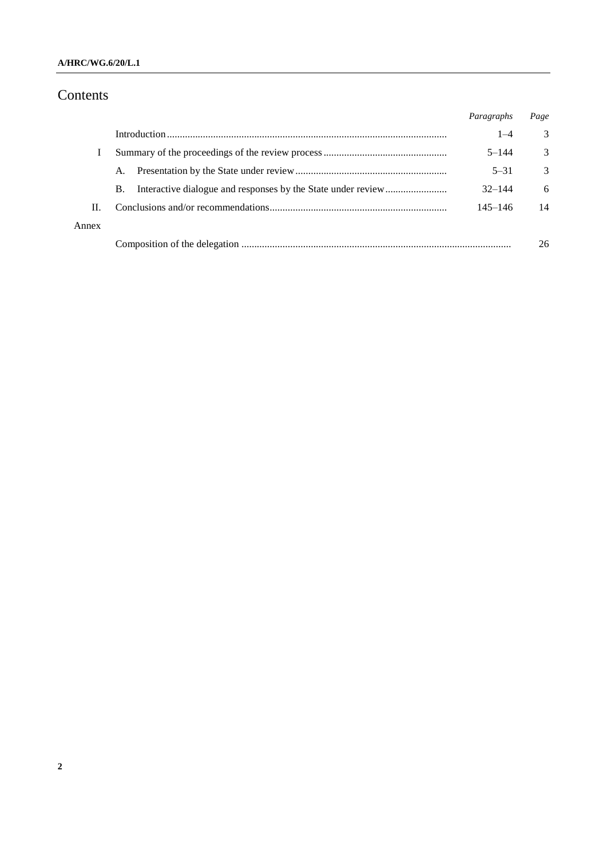#### **A/HRC/WG.6/20/L.1**

# Contents

|       |           | Paragraphs  | Page          |
|-------|-----------|-------------|---------------|
|       |           | $1 - 4$     | 3             |
|       |           | $5 - 144$   | 3             |
|       | A.        | $5 - 31$    | $\mathcal{R}$ |
|       | <b>B.</b> | $32 - 144$  | 6             |
| H.    |           | $145 - 146$ | 14            |
| Annex |           |             |               |
|       |           |             | 26            |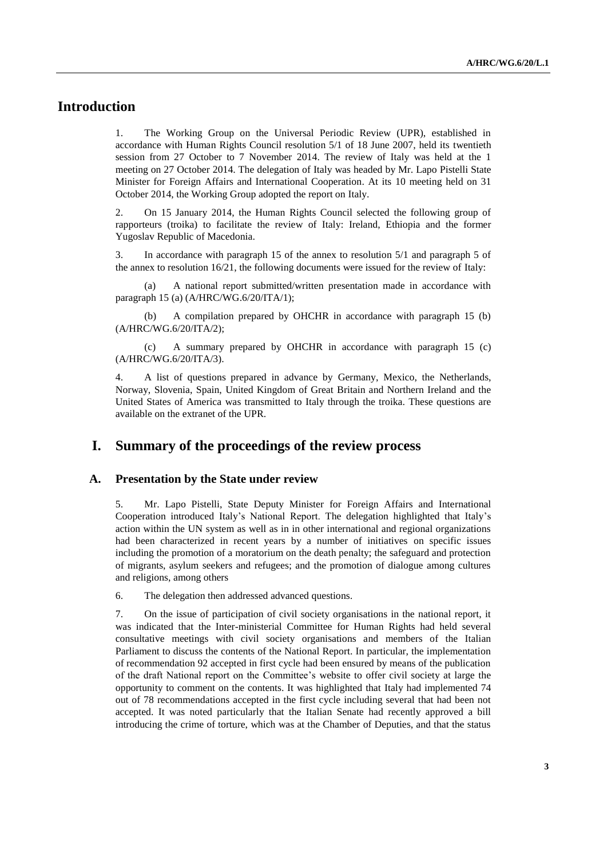# **Introduction**

1. The Working Group on the Universal Periodic Review (UPR), established in accordance with Human Rights Council resolution 5/1 of 18 June 2007, held its twentieth session from 27 October to 7 November 2014. The review of Italy was held at the 1 meeting on 27 October 2014. The delegation of Italy was headed by Mr. Lapo Pistelli State Minister for Foreign Affairs and International Cooperation. At its 10 meeting held on 31 October 2014, the Working Group adopted the report on Italy.

2. On 15 January 2014, the Human Rights Council selected the following group of rapporteurs (troika) to facilitate the review of Italy: Ireland, Ethiopia and the former Yugoslav Republic of Macedonia.

3. In accordance with paragraph 15 of the annex to resolution 5/1 and paragraph 5 of the annex to resolution 16/21, the following documents were issued for the review of Italy:

(a) A national report submitted/written presentation made in accordance with paragraph 15 (a) (A/HRC/WG.6/20/ITA/1);

(b) A compilation prepared by OHCHR in accordance with paragraph 15 (b) (A/HRC/WG.6/20/ITA/2);

(c) A summary prepared by OHCHR in accordance with paragraph 15 (c) (A/HRC/WG.6/20/ITA/3).

4. A list of questions prepared in advance by Germany, Mexico, the Netherlands, Norway, Slovenia, Spain, United Kingdom of Great Britain and Northern Ireland and the United States of America was transmitted to Italy through the troika. These questions are available on the extranet of the UPR.

## **I. Summary of the proceedings of the review process**

#### **A. Presentation by the State under review**

5. Mr. Lapo Pistelli, State Deputy Minister for Foreign Affairs and International Cooperation introduced Italy's National Report. The delegation highlighted that Italy's action within the UN system as well as in in other international and regional organizations had been characterized in recent years by a number of initiatives on specific issues including the promotion of a moratorium on the death penalty; the safeguard and protection of migrants, asylum seekers and refugees; and the promotion of dialogue among cultures and religions, among others

6. The delegation then addressed advanced questions.

7. On the issue of participation of civil society organisations in the national report, it was indicated that the Inter-ministerial Committee for Human Rights had held several consultative meetings with civil society organisations and members of the Italian Parliament to discuss the contents of the National Report. In particular, the implementation of recommendation 92 accepted in first cycle had been ensured by means of the publication of the draft National report on the Committee's website to offer civil society at large the opportunity to comment on the contents. It was highlighted that Italy had implemented 74 out of 78 recommendations accepted in the first cycle including several that had been not accepted. It was noted particularly that the Italian Senate had recently approved a bill introducing the crime of torture, which was at the Chamber of Deputies, and that the status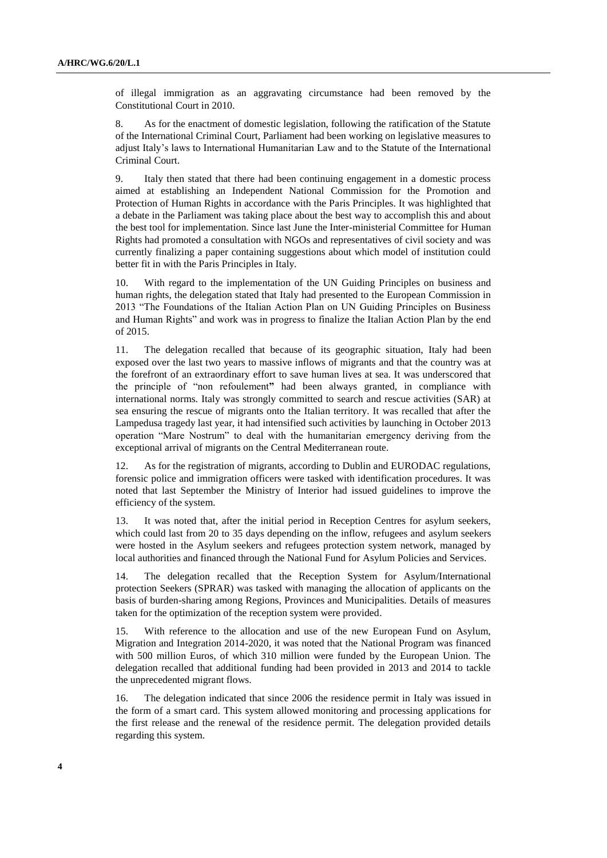of illegal immigration as an aggravating circumstance had been removed by the Constitutional Court in 2010.

8. As for the enactment of domestic legislation, following the ratification of the Statute of the International Criminal Court, Parliament had been working on legislative measures to adjust Italy's laws to International Humanitarian Law and to the Statute of the International Criminal Court.

9. Italy then stated that there had been continuing engagement in a domestic process aimed at establishing an Independent National Commission for the Promotion and Protection of Human Rights in accordance with the Paris Principles. It was highlighted that a debate in the Parliament was taking place about the best way to accomplish this and about the best tool for implementation. Since last June the Inter-ministerial Committee for Human Rights had promoted a consultation with NGOs and representatives of civil society and was currently finalizing a paper containing suggestions about which model of institution could better fit in with the Paris Principles in Italy.

10. With regard to the implementation of the UN Guiding Principles on business and human rights, the delegation stated that Italy had presented to the European Commission in 2013 "The Foundations of the Italian Action Plan on UN Guiding Principles on Business and Human Rights" and work was in progress to finalize the Italian Action Plan by the end of 2015.

11. The delegation recalled that because of its geographic situation, Italy had been exposed over the last two years to massive inflows of migrants and that the country was at the forefront of an extraordinary effort to save human lives at sea. It was underscored that the principle of "non refoulement**"** had been always granted, in compliance with international norms. Italy was strongly committed to search and rescue activities (SAR) at sea ensuring the rescue of migrants onto the Italian territory. It was recalled that after the Lampedusa tragedy last year, it had intensified such activities by launching in October 2013 operation "Mare Nostrum" to deal with the humanitarian emergency deriving from the exceptional arrival of migrants on the Central Mediterranean route.

12. As for the registration of migrants, according to Dublin and EURODAC regulations, forensic police and immigration officers were tasked with identification procedures. It was noted that last September the Ministry of Interior had issued guidelines to improve the efficiency of the system.

13. It was noted that, after the initial period in Reception Centres for asylum seekers, which could last from 20 to 35 days depending on the inflow, refugees and asylum seekers were hosted in the Asylum seekers and refugees protection system network, managed by local authorities and financed through the National Fund for Asylum Policies and Services.

14. The delegation recalled that the Reception System for Asylum/International protection Seekers (SPRAR) was tasked with managing the allocation of applicants on the basis of burden-sharing among Regions, Provinces and Municipalities. Details of measures taken for the optimization of the reception system were provided.

15. With reference to the allocation and use of the new European Fund on Asylum, Migration and Integration 2014-2020, it was noted that the National Program was financed with 500 million Euros, of which 310 million were funded by the European Union. The delegation recalled that additional funding had been provided in 2013 and 2014 to tackle the unprecedented migrant flows.

16. The delegation indicated that since 2006 the residence permit in Italy was issued in the form of a smart card. This system allowed monitoring and processing applications for the first release and the renewal of the residence permit. The delegation provided details regarding this system.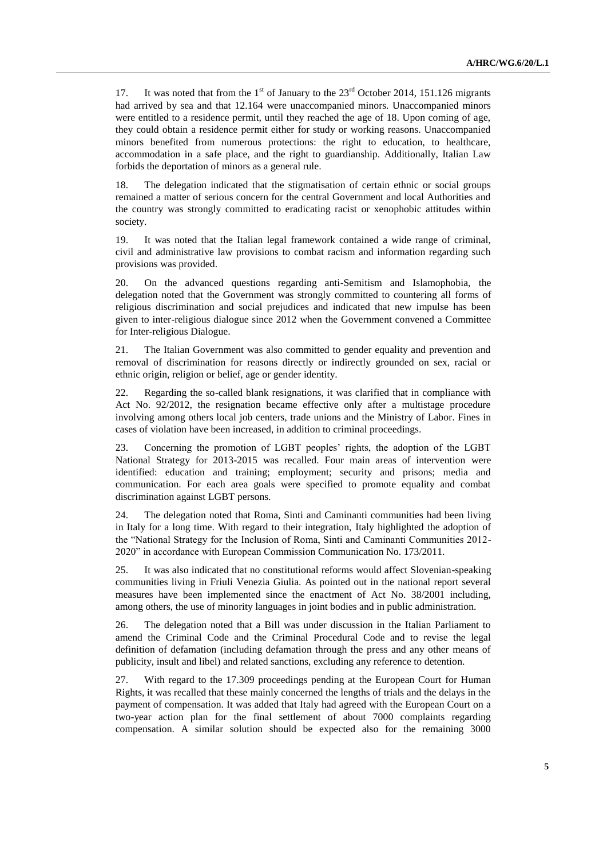17. It was noted that from the  $1<sup>st</sup>$  of January to the  $23<sup>rd</sup>$  October 2014, 151.126 migrants had arrived by sea and that 12.164 were unaccompanied minors. Unaccompanied minors were entitled to a residence permit, until they reached the age of 18. Upon coming of age, they could obtain a residence permit either for study or working reasons. Unaccompanied minors benefited from numerous protections: the right to education, to healthcare, accommodation in a safe place, and the right to guardianship. Additionally, Italian Law forbids the deportation of minors as a general rule.

18. The delegation indicated that the stigmatisation of certain ethnic or social groups remained a matter of serious concern for the central Government and local Authorities and the country was strongly committed to eradicating racist or xenophobic attitudes within society.

19. It was noted that the Italian legal framework contained a wide range of criminal, civil and administrative law provisions to combat racism and information regarding such provisions was provided.

20. On the advanced questions regarding anti-Semitism and Islamophobia, the delegation noted that the Government was strongly committed to countering all forms of religious discrimination and social prejudices and indicated that new impulse has been given to inter-religious dialogue since 2012 when the Government convened a Committee for Inter-religious Dialogue.

21. The Italian Government was also committed to gender equality and prevention and removal of discrimination for reasons directly or indirectly grounded on sex, racial or ethnic origin, religion or belief, age or gender identity.

22. Regarding the so-called blank resignations, it was clarified that in compliance with Act No. 92/2012, the resignation became effective only after a multistage procedure involving among others local job centers, trade unions and the Ministry of Labor. Fines in cases of violation have been increased, in addition to criminal proceedings.

23. Concerning the promotion of LGBT peoples' rights, the adoption of the LGBT National Strategy for 2013-2015 was recalled. Four main areas of intervention were identified: education and training; employment; security and prisons; media and communication. For each area goals were specified to promote equality and combat discrimination against LGBT persons.

24. The delegation noted that Roma, Sinti and Caminanti communities had been living in Italy for a long time. With regard to their integration, Italy highlighted the adoption of the "National Strategy for the Inclusion of Roma, Sinti and Caminanti Communities 2012- 2020" in accordance with European Commission Communication No. 173/2011.

25. It was also indicated that no constitutional reforms would affect Slovenian-speaking communities living in Friuli Venezia Giulia. As pointed out in the national report several measures have been implemented since the enactment of Act No. 38/2001 including, among others, the use of minority languages in joint bodies and in public administration.

26. The delegation noted that a Bill was under discussion in the Italian Parliament to amend the Criminal Code and the Criminal Procedural Code and to revise the legal definition of defamation (including defamation through the press and any other means of publicity, insult and libel) and related sanctions, excluding any reference to detention.

27. With regard to the 17.309 proceedings pending at the European Court for Human Rights, it was recalled that these mainly concerned the lengths of trials and the delays in the payment of compensation. It was added that Italy had agreed with the European Court on a two-year action plan for the final settlement of about 7000 complaints regarding compensation. A similar solution should be expected also for the remaining 3000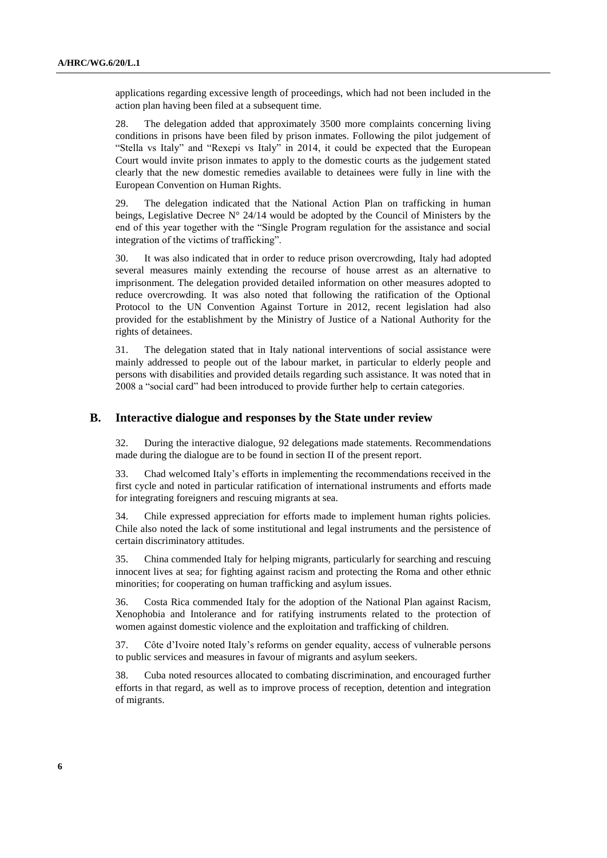applications regarding excessive length of proceedings, which had not been included in the action plan having been filed at a subsequent time.

28. The delegation added that approximately 3500 more complaints concerning living conditions in prisons have been filed by prison inmates. Following the pilot judgement of "Stella vs Italy" and "Rexepi vs Italy" in 2014, it could be expected that the European Court would invite prison inmates to apply to the domestic courts as the judgement stated clearly that the new domestic remedies available to detainees were fully in line with the European Convention on Human Rights.

29. The delegation indicated that the National Action Plan on trafficking in human beings, Legislative Decree  $N^{\circ}$  24/14 would be adopted by the Council of Ministers by the end of this year together with the "Single Program regulation for the assistance and social integration of the victims of trafficking".

30. It was also indicated that in order to reduce prison overcrowding, Italy had adopted several measures mainly extending the recourse of house arrest as an alternative to imprisonment. The delegation provided detailed information on other measures adopted to reduce overcrowding. It was also noted that following the ratification of the Optional Protocol to the UN Convention Against Torture in 2012, recent legislation had also provided for the establishment by the Ministry of Justice of a National Authority for the rights of detainees.

31. The delegation stated that in Italy national interventions of social assistance were mainly addressed to people out of the labour market, in particular to elderly people and persons with disabilities and provided details regarding such assistance. It was noted that in 2008 a "social card" had been introduced to provide further help to certain categories.

#### **B. Interactive dialogue and responses by the State under review**

32. During the interactive dialogue, 92 delegations made statements. Recommendations made during the dialogue are to be found in section II of the present report.

33. Chad welcomed Italy's efforts in implementing the recommendations received in the first cycle and noted in particular ratification of international instruments and efforts made for integrating foreigners and rescuing migrants at sea.

34. Chile expressed appreciation for efforts made to implement human rights policies. Chile also noted the lack of some institutional and legal instruments and the persistence of certain discriminatory attitudes.

35. China commended Italy for helping migrants, particularly for searching and rescuing innocent lives at sea; for fighting against racism and protecting the Roma and other ethnic minorities; for cooperating on human trafficking and asylum issues.

36. Costa Rica commended Italy for the adoption of the National Plan against Racism, Xenophobia and Intolerance and for ratifying instruments related to the protection of women against domestic violence and the exploitation and trafficking of children.

37. Côte d'Ivoire noted Italy's reforms on gender equality, access of vulnerable persons to public services and measures in favour of migrants and asylum seekers.

38. Cuba noted resources allocated to combating discrimination, and encouraged further efforts in that regard, as well as to improve process of reception, detention and integration of migrants.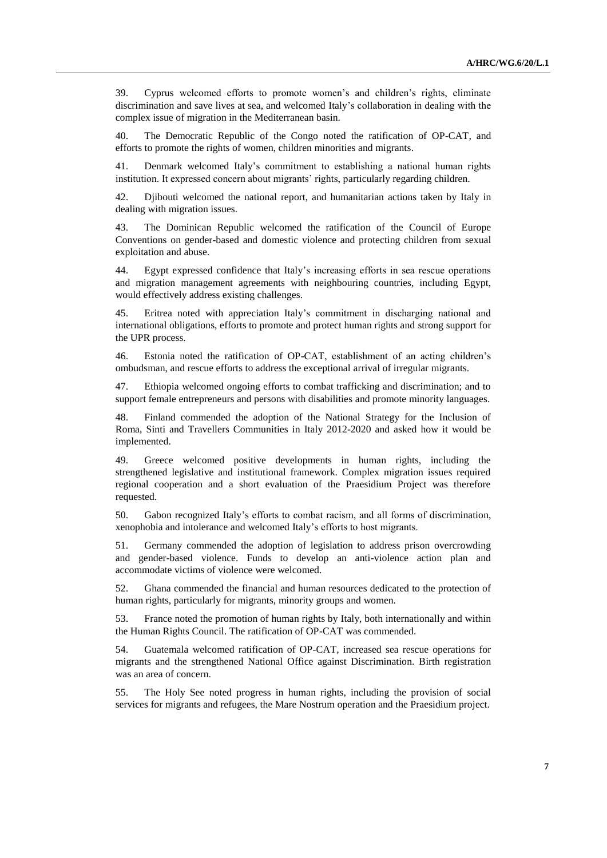39. Cyprus welcomed efforts to promote women's and children's rights, eliminate discrimination and save lives at sea, and welcomed Italy's collaboration in dealing with the complex issue of migration in the Mediterranean basin.

40. The Democratic Republic of the Congo noted the ratification of OP-CAT, and efforts to promote the rights of women, children minorities and migrants.

41. Denmark welcomed Italy's commitment to establishing a national human rights institution. It expressed concern about migrants' rights, particularly regarding children.

42. Djibouti welcomed the national report, and humanitarian actions taken by Italy in dealing with migration issues.

43. The Dominican Republic welcomed the ratification of the Council of Europe Conventions on gender-based and domestic violence and protecting children from sexual exploitation and abuse.

44. Egypt expressed confidence that Italy's increasing efforts in sea rescue operations and migration management agreements with neighbouring countries, including Egypt, would effectively address existing challenges.

45. Eritrea noted with appreciation Italy's commitment in discharging national and international obligations, efforts to promote and protect human rights and strong support for the UPR process.

46. Estonia noted the ratification of OP-CAT, establishment of an acting children's ombudsman, and rescue efforts to address the exceptional arrival of irregular migrants.

47. Ethiopia welcomed ongoing efforts to combat trafficking and discrimination; and to support female entrepreneurs and persons with disabilities and promote minority languages.

48. Finland commended the adoption of the National Strategy for the Inclusion of Roma, Sinti and Travellers Communities in Italy 2012-2020 and asked how it would be implemented.

49. Greece welcomed positive developments in human rights, including the strengthened legislative and institutional framework. Complex migration issues required regional cooperation and a short evaluation of the Praesidium Project was therefore requested.

50. Gabon recognized Italy's efforts to combat racism, and all forms of discrimination, xenophobia and intolerance and welcomed Italy's efforts to host migrants.

51. Germany commended the adoption of legislation to address prison overcrowding and gender-based violence. Funds to develop an anti-violence action plan and accommodate victims of violence were welcomed.

52. Ghana commended the financial and human resources dedicated to the protection of human rights, particularly for migrants, minority groups and women.

53. France noted the promotion of human rights by Italy, both internationally and within the Human Rights Council. The ratification of OP-CAT was commended.

54. Guatemala welcomed ratification of OP-CAT, increased sea rescue operations for migrants and the strengthened National Office against Discrimination. Birth registration was an area of concern.

55. The Holy See noted progress in human rights, including the provision of social services for migrants and refugees, the Mare Nostrum operation and the Praesidium project.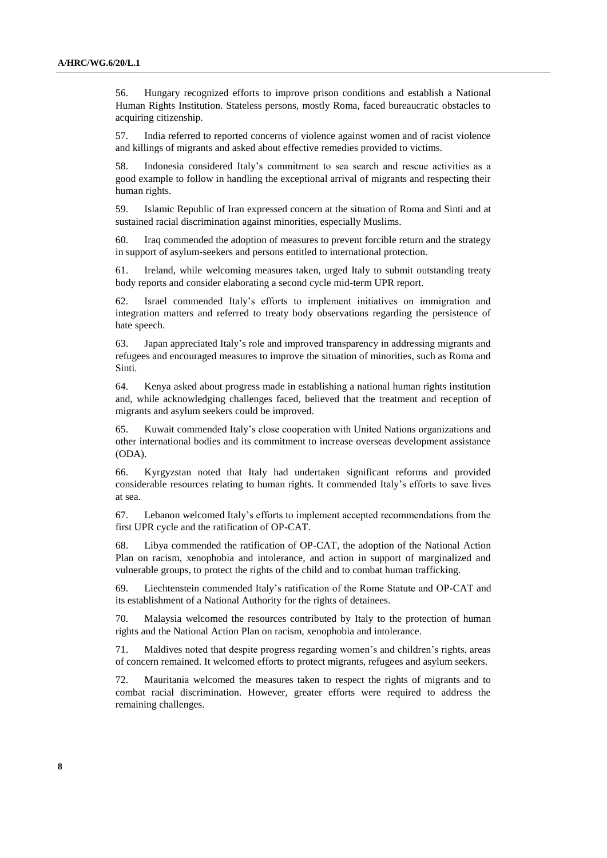56. Hungary recognized efforts to improve prison conditions and establish a National Human Rights Institution. Stateless persons, mostly Roma, faced bureaucratic obstacles to acquiring citizenship.

57. India referred to reported concerns of violence against women and of racist violence and killings of migrants and asked about effective remedies provided to victims.

58. Indonesia considered Italy's commitment to sea search and rescue activities as a good example to follow in handling the exceptional arrival of migrants and respecting their human rights.

59. Islamic Republic of Iran expressed concern at the situation of Roma and Sinti and at sustained racial discrimination against minorities, especially Muslims.

60. Iraq commended the adoption of measures to prevent forcible return and the strategy in support of asylum-seekers and persons entitled to international protection.

61. Ireland, while welcoming measures taken, urged Italy to submit outstanding treaty body reports and consider elaborating a second cycle mid-term UPR report.

62. Israel commended Italy's efforts to implement initiatives on immigration and integration matters and referred to treaty body observations regarding the persistence of hate speech.

63. Japan appreciated Italy's role and improved transparency in addressing migrants and refugees and encouraged measures to improve the situation of minorities, such as Roma and Sinti.

64. Kenya asked about progress made in establishing a national human rights institution and, while acknowledging challenges faced, believed that the treatment and reception of migrants and asylum seekers could be improved.

65. Kuwait commended Italy's close cooperation with United Nations organizations and other international bodies and its commitment to increase overseas development assistance (ODA).

66. Kyrgyzstan noted that Italy had undertaken significant reforms and provided considerable resources relating to human rights. It commended Italy's efforts to save lives at sea.

67. Lebanon welcomed Italy's efforts to implement accepted recommendations from the first UPR cycle and the ratification of OP-CAT.

68. Libya commended the ratification of OP-CAT, the adoption of the National Action Plan on racism, xenophobia and intolerance, and action in support of marginalized and vulnerable groups, to protect the rights of the child and to combat human trafficking.

69. Liechtenstein commended Italy's ratification of the Rome Statute and OP-CAT and its establishment of a National Authority for the rights of detainees.

70. Malaysia welcomed the resources contributed by Italy to the protection of human rights and the National Action Plan on racism, xenophobia and intolerance.

71. Maldives noted that despite progress regarding women's and children's rights, areas of concern remained. It welcomed efforts to protect migrants, refugees and asylum seekers.

72. Mauritania welcomed the measures taken to respect the rights of migrants and to combat racial discrimination. However, greater efforts were required to address the remaining challenges.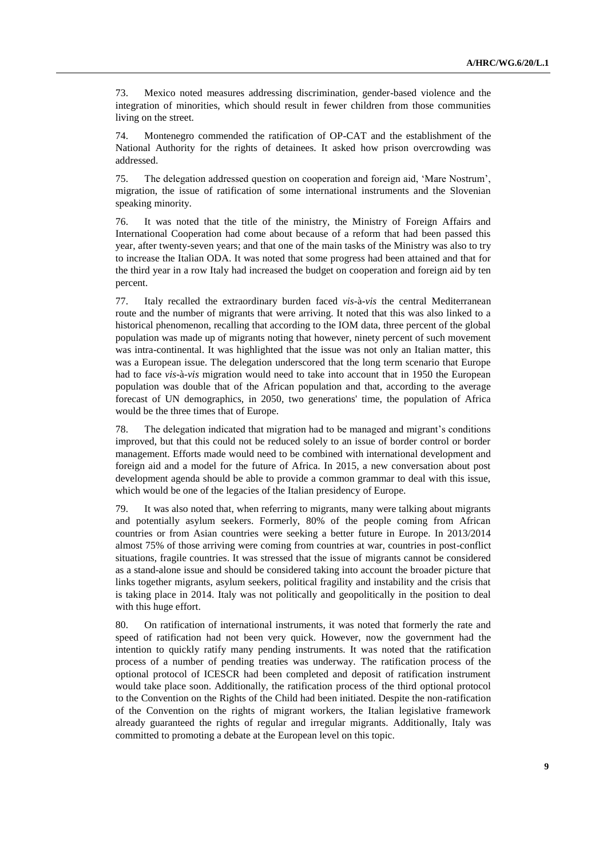73. Mexico noted measures addressing discrimination, gender-based violence and the integration of minorities, which should result in fewer children from those communities living on the street.

74. Montenegro commended the ratification of OP-CAT and the establishment of the National Authority for the rights of detainees. It asked how prison overcrowding was addressed.

75. The delegation addressed question on cooperation and foreign aid, 'Mare Nostrum', migration, the issue of ratification of some international instruments and the Slovenian speaking minority.

76. It was noted that the title of the ministry, the Ministry of Foreign Affairs and International Cooperation had come about because of a reform that had been passed this year, after twenty-seven years; and that one of the main tasks of the Ministry was also to try to increase the Italian ODA. It was noted that some progress had been attained and that for the third year in a row Italy had increased the budget on cooperation and foreign aid by ten percent.

77. Italy recalled the extraordinary burden faced *vis*-à-*vis* the central Mediterranean route and the number of migrants that were arriving. It noted that this was also linked to a historical phenomenon, recalling that according to the IOM data, three percent of the global population was made up of migrants noting that however, ninety percent of such movement was intra-continental. It was highlighted that the issue was not only an Italian matter, this was a European issue. The delegation underscored that the long term scenario that Europe had to face *vis*-à-*vis* migration would need to take into account that in 1950 the European population was double that of the African population and that, according to the average forecast of UN demographics, in 2050, two generations' time, the population of Africa would be the three times that of Europe.

78. The delegation indicated that migration had to be managed and migrant's conditions improved, but that this could not be reduced solely to an issue of border control or border management. Efforts made would need to be combined with international development and foreign aid and a model for the future of Africa. In 2015, a new conversation about post development agenda should be able to provide a common grammar to deal with this issue, which would be one of the legacies of the Italian presidency of Europe.

79. It was also noted that, when referring to migrants, many were talking about migrants and potentially asylum seekers. Formerly, 80% of the people coming from African countries or from Asian countries were seeking a better future in Europe. In 2013/2014 almost 75% of those arriving were coming from countries at war, countries in post-conflict situations, fragile countries. It was stressed that the issue of migrants cannot be considered as a stand-alone issue and should be considered taking into account the broader picture that links together migrants, asylum seekers, political fragility and instability and the crisis that is taking place in 2014. Italy was not politically and geopolitically in the position to deal with this huge effort.

80. On ratification of international instruments, it was noted that formerly the rate and speed of ratification had not been very quick. However, now the government had the intention to quickly ratify many pending instruments. It was noted that the ratification process of a number of pending treaties was underway. The ratification process of the optional protocol of ICESCR had been completed and deposit of ratification instrument would take place soon. Additionally, the ratification process of the third optional protocol to the Convention on the Rights of the Child had been initiated. Despite the non-ratification of the Convention on the rights of migrant workers, the Italian legislative framework already guaranteed the rights of regular and irregular migrants. Additionally, Italy was committed to promoting a debate at the European level on this topic.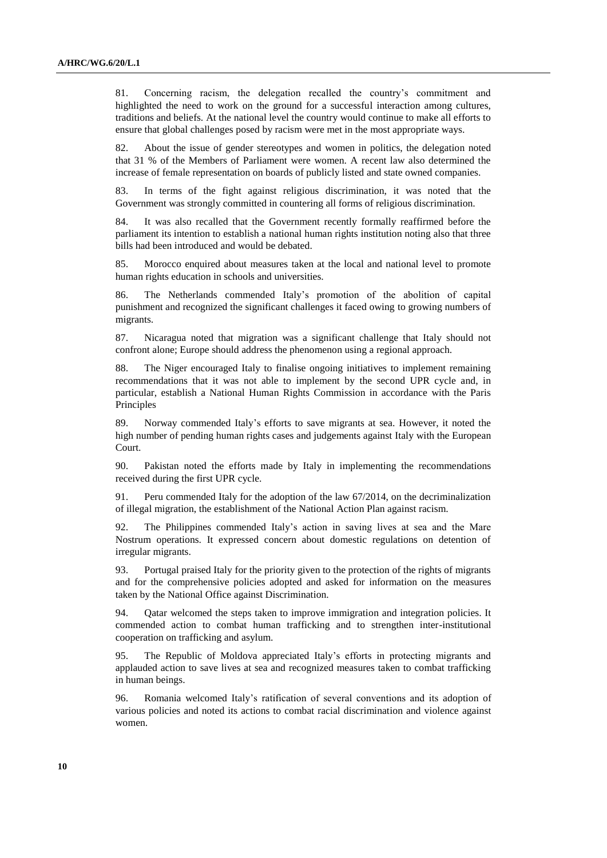81. Concerning racism, the delegation recalled the country's commitment and highlighted the need to work on the ground for a successful interaction among cultures, traditions and beliefs. At the national level the country would continue to make all efforts to ensure that global challenges posed by racism were met in the most appropriate ways.

82. About the issue of gender stereotypes and women in politics, the delegation noted that 31 % of the Members of Parliament were women. A recent law also determined the increase of female representation on boards of publicly listed and state owned companies.

83. In terms of the fight against religious discrimination, it was noted that the Government was strongly committed in countering all forms of religious discrimination.

84. It was also recalled that the Government recently formally reaffirmed before the parliament its intention to establish a national human rights institution noting also that three bills had been introduced and would be debated.

85. Morocco enquired about measures taken at the local and national level to promote human rights education in schools and universities.

86. The Netherlands commended Italy's promotion of the abolition of capital punishment and recognized the significant challenges it faced owing to growing numbers of migrants.

87. Nicaragua noted that migration was a significant challenge that Italy should not confront alone; Europe should address the phenomenon using a regional approach.

88. The Niger encouraged Italy to finalise ongoing initiatives to implement remaining recommendations that it was not able to implement by the second UPR cycle and, in particular, establish a National Human Rights Commission in accordance with the Paris Principles

89. Norway commended Italy's efforts to save migrants at sea. However, it noted the high number of pending human rights cases and judgements against Italy with the European Court.

90. Pakistan noted the efforts made by Italy in implementing the recommendations received during the first UPR cycle.

91. Peru commended Italy for the adoption of the law 67/2014, on the decriminalization of illegal migration, the establishment of the National Action Plan against racism.

92. The Philippines commended Italy's action in saving lives at sea and the Mare Nostrum operations. It expressed concern about domestic regulations on detention of irregular migrants.

93. Portugal praised Italy for the priority given to the protection of the rights of migrants and for the comprehensive policies adopted and asked for information on the measures taken by the National Office against Discrimination.

94. Qatar welcomed the steps taken to improve immigration and integration policies. It commended action to combat human trafficking and to strengthen inter-institutional cooperation on trafficking and asylum.

95. The Republic of Moldova appreciated Italy's efforts in protecting migrants and applauded action to save lives at sea and recognized measures taken to combat trafficking in human beings.

96. Romania welcomed Italy's ratification of several conventions and its adoption of various policies and noted its actions to combat racial discrimination and violence against women.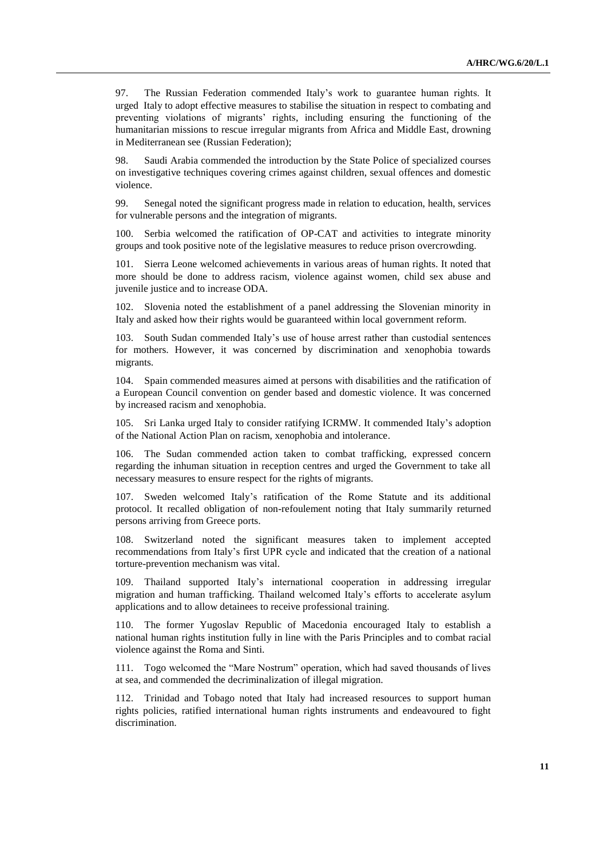97. The Russian Federation commended Italy's work to guarantee human rights. It urged Italy to adopt effective measures to stabilise the situation in respect to combating and preventing violations of migrants' rights, including ensuring the functioning of the humanitarian missions to rescue irregular migrants from Africa and Middle East, drowning in Mediterranean see (Russian Federation);

98. Saudi Arabia commended the introduction by the State Police of specialized courses on investigative techniques covering crimes against children, sexual offences and domestic violence.

99. Senegal noted the significant progress made in relation to education, health, services for vulnerable persons and the integration of migrants.

100. Serbia welcomed the ratification of OP-CAT and activities to integrate minority groups and took positive note of the legislative measures to reduce prison overcrowding.

101. Sierra Leone welcomed achievements in various areas of human rights. It noted that more should be done to address racism, violence against women, child sex abuse and juvenile justice and to increase ODA.

102. Slovenia noted the establishment of a panel addressing the Slovenian minority in Italy and asked how their rights would be guaranteed within local government reform.

103. South Sudan commended Italy's use of house arrest rather than custodial sentences for mothers. However, it was concerned by discrimination and xenophobia towards migrants.

104. Spain commended measures aimed at persons with disabilities and the ratification of a European Council convention on gender based and domestic violence. It was concerned by increased racism and xenophobia.

105. Sri Lanka urged Italy to consider ratifying ICRMW. It commended Italy's adoption of the National Action Plan on racism, xenophobia and intolerance.

106. The Sudan commended action taken to combat trafficking, expressed concern regarding the inhuman situation in reception centres and urged the Government to take all necessary measures to ensure respect for the rights of migrants.

107. Sweden welcomed Italy's ratification of the Rome Statute and its additional protocol. It recalled obligation of non-refoulement noting that Italy summarily returned persons arriving from Greece ports.

108. Switzerland noted the significant measures taken to implement accepted recommendations from Italy's first UPR cycle and indicated that the creation of a national torture-prevention mechanism was vital.

109. Thailand supported Italy's international cooperation in addressing irregular migration and human trafficking. Thailand welcomed Italy's efforts to accelerate asylum applications and to allow detainees to receive professional training.

110. The former Yugoslav Republic of Macedonia encouraged Italy to establish a national human rights institution fully in line with the Paris Principles and to combat racial violence against the Roma and Sinti.

111. Togo welcomed the "Mare Nostrum" operation, which had saved thousands of lives at sea, and commended the decriminalization of illegal migration.

112. Trinidad and Tobago noted that Italy had increased resources to support human rights policies, ratified international human rights instruments and endeavoured to fight discrimination.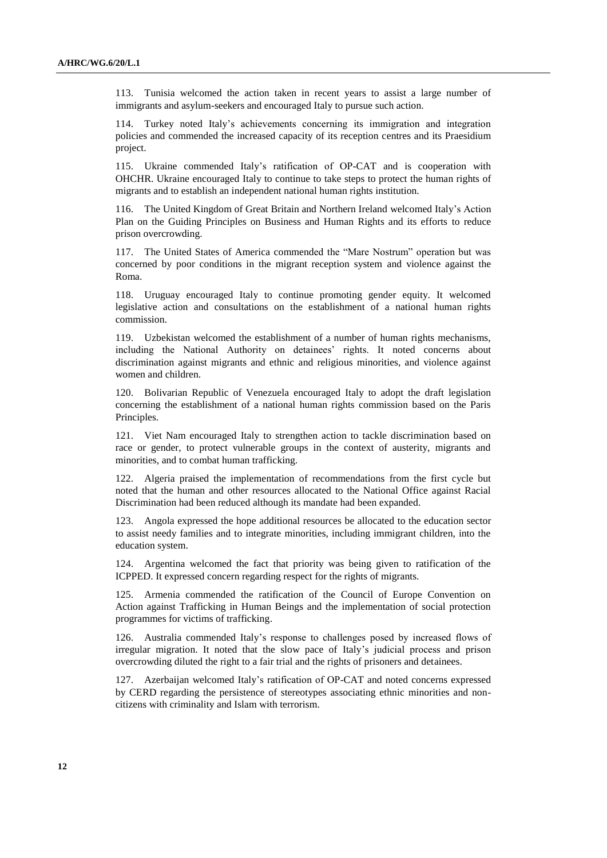113. Tunisia welcomed the action taken in recent years to assist a large number of immigrants and asylum-seekers and encouraged Italy to pursue such action.

114. Turkey noted Italy's achievements concerning its immigration and integration policies and commended the increased capacity of its reception centres and its Praesidium project.

115. Ukraine commended Italy's ratification of OP-CAT and is cooperation with OHCHR. Ukraine encouraged Italy to continue to take steps to protect the human rights of migrants and to establish an independent national human rights institution.

116. The United Kingdom of Great Britain and Northern Ireland welcomed Italy's Action Plan on the Guiding Principles on Business and Human Rights and its efforts to reduce prison overcrowding.

117. The United States of America commended the "Mare Nostrum" operation but was concerned by poor conditions in the migrant reception system and violence against the Roma.

118. Uruguay encouraged Italy to continue promoting gender equity. It welcomed legislative action and consultations on the establishment of a national human rights commission.

119. Uzbekistan welcomed the establishment of a number of human rights mechanisms, including the National Authority on detainees' rights. It noted concerns about discrimination against migrants and ethnic and religious minorities, and violence against women and children.

120. Bolivarian Republic of Venezuela encouraged Italy to adopt the draft legislation concerning the establishment of a national human rights commission based on the Paris Principles.

121. Viet Nam encouraged Italy to strengthen action to tackle discrimination based on race or gender, to protect vulnerable groups in the context of austerity, migrants and minorities, and to combat human trafficking.

122. Algeria praised the implementation of recommendations from the first cycle but noted that the human and other resources allocated to the National Office against Racial Discrimination had been reduced although its mandate had been expanded.

123. Angola expressed the hope additional resources be allocated to the education sector to assist needy families and to integrate minorities, including immigrant children, into the education system.

124. Argentina welcomed the fact that priority was being given to ratification of the ICPPED. It expressed concern regarding respect for the rights of migrants.

Armenia commended the ratification of the Council of Europe Convention on Action against Trafficking in Human Beings and the implementation of social protection programmes for victims of trafficking.

126. Australia commended Italy's response to challenges posed by increased flows of irregular migration. It noted that the slow pace of Italy's judicial process and prison overcrowding diluted the right to a fair trial and the rights of prisoners and detainees.

127. Azerbaijan welcomed Italy's ratification of OP-CAT and noted concerns expressed by CERD regarding the persistence of stereotypes associating ethnic minorities and noncitizens with criminality and Islam with terrorism.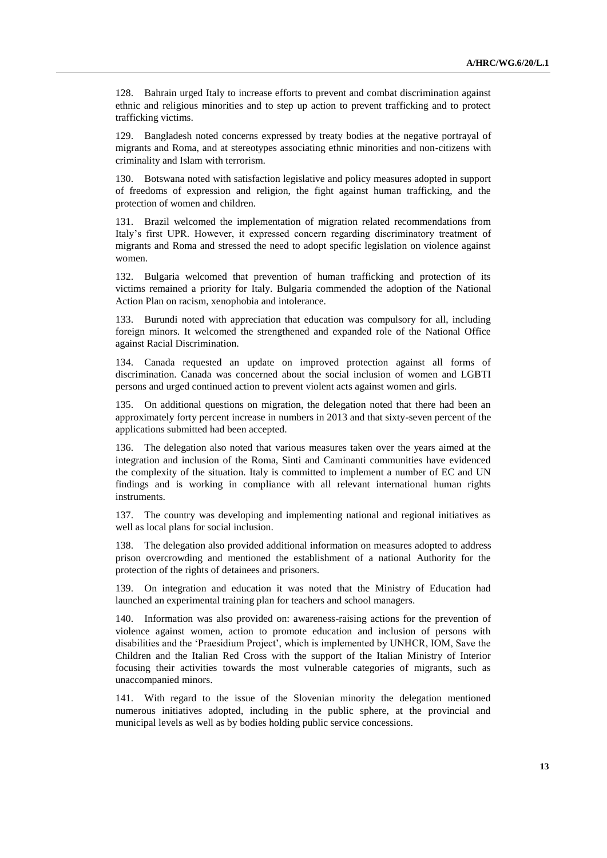128. Bahrain urged Italy to increase efforts to prevent and combat discrimination against ethnic and religious minorities and to step up action to prevent trafficking and to protect trafficking victims.

129. Bangladesh noted concerns expressed by treaty bodies at the negative portrayal of migrants and Roma, and at stereotypes associating ethnic minorities and non-citizens with criminality and Islam with terrorism.

130. Botswana noted with satisfaction legislative and policy measures adopted in support of freedoms of expression and religion, the fight against human trafficking, and the protection of women and children.

131. Brazil welcomed the implementation of migration related recommendations from Italy's first UPR. However, it expressed concern regarding discriminatory treatment of migrants and Roma and stressed the need to adopt specific legislation on violence against women.

132. Bulgaria welcomed that prevention of human trafficking and protection of its victims remained a priority for Italy. Bulgaria commended the adoption of the National Action Plan on racism, xenophobia and intolerance.

133. Burundi noted with appreciation that education was compulsory for all, including foreign minors. It welcomed the strengthened and expanded role of the National Office against Racial Discrimination.

134. Canada requested an update on improved protection against all forms of discrimination. Canada was concerned about the social inclusion of women and LGBTI persons and urged continued action to prevent violent acts against women and girls.

135. On additional questions on migration, the delegation noted that there had been an approximately forty percent increase in numbers in 2013 and that sixty-seven percent of the applications submitted had been accepted.

136. The delegation also noted that various measures taken over the years aimed at the integration and inclusion of the Roma, Sinti and Caminanti communities have evidenced the complexity of the situation. Italy is committed to implement a number of EC and UN findings and is working in compliance with all relevant international human rights instruments.

137. The country was developing and implementing national and regional initiatives as well as local plans for social inclusion.

138. The delegation also provided additional information on measures adopted to address prison overcrowding and mentioned the establishment of a national Authority for the protection of the rights of detainees and prisoners.

139. On integration and education it was noted that the Ministry of Education had launched an experimental training plan for teachers and school managers.

140. Information was also provided on: awareness-raising actions for the prevention of violence against women, action to promote education and inclusion of persons with disabilities and the 'Praesidium Project', which is implemented by UNHCR, IOM, Save the Children and the Italian Red Cross with the support of the Italian Ministry of Interior focusing their activities towards the most vulnerable categories of migrants, such as unaccompanied minors.

141. With regard to the issue of the Slovenian minority the delegation mentioned numerous initiatives adopted, including in the public sphere, at the provincial and municipal levels as well as by bodies holding public service concessions.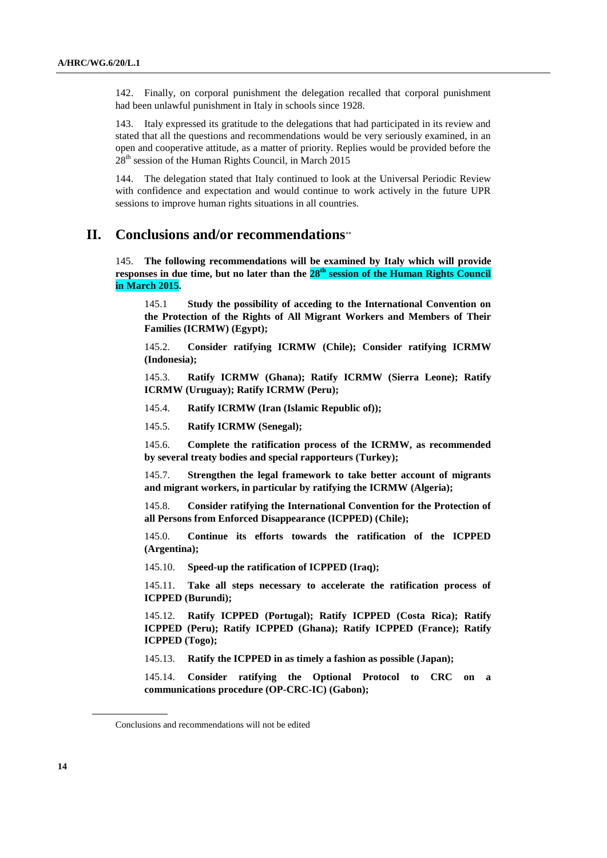142. Finally, on corporal punishment the delegation recalled that corporal punishment had been unlawful punishment in Italy in schools since 1928.

143. Italy expressed its gratitude to the delegations that had participated in its review and stated that all the questions and recommendations would be very seriously examined, in an open and cooperative attitude, as a matter of priority. Replies would be provided before the  $28<sup>th</sup>$  session of the Human Rights Council, in March 2015

144. The delegation stated that Italy continued to look at the Universal Periodic Review with confidence and expectation and would continue to work actively in the future UPR sessions to improve human rights situations in all countries.

## **II. Conclusions and/or recommendations**

145. **The following recommendations will be examined by Italy which will provide responses in due time, but no later than the 28 th session of the Human Rights Council in March 2015.** 

145.1 **Study the possibility of acceding to the International Convention on the Protection of the Rights of All Migrant Workers and Members of Their Families (ICRMW) (Egypt);**

145.2. **Consider ratifying ICRMW (Chile); Consider ratifying ICRMW (Indonesia);**

145.3. **Ratify ICRMW (Ghana); Ratify ICRMW (Sierra Leone); Ratify ICRMW (Uruguay); Ratify ICRMW (Peru);**

145.4. **Ratify ICRMW (Iran (Islamic Republic of));**

145.5. **Ratify ICRMW (Senegal);**

145.6. **Complete the ratification process of the ICRMW, as recommended by several treaty bodies and special rapporteurs (Turkey);**

145.7. **Strengthen the legal framework to take better account of migrants and migrant workers, in particular by ratifying the ICRMW (Algeria);**

145.8. **Consider ratifying the International Convention for the Protection of all Persons from Enforced Disappearance (ICPPED) (Chile);**

145.0. **Continue its efforts towards the ratification of the ICPPED (Argentina);**

145.10. **Speed-up the ratification of ICPPED (Iraq);**

145.11. **Take all steps necessary to accelerate the ratification process of ICPPED (Burundi);**

145.12. **Ratify ICPPED (Portugal); Ratify ICPPED (Costa Rica); Ratify ICPPED (Peru); Ratify ICPPED (Ghana); Ratify ICPPED (France); Ratify ICPPED (Togo);**

145.13. **Ratify the ICPPED in as timely a fashion as possible (Japan);**

145.14. **Consider ratifying the Optional Protocol to CRC on a communications procedure (OP-CRC-IC) (Gabon);**

Conclusions and recommendations will not be edited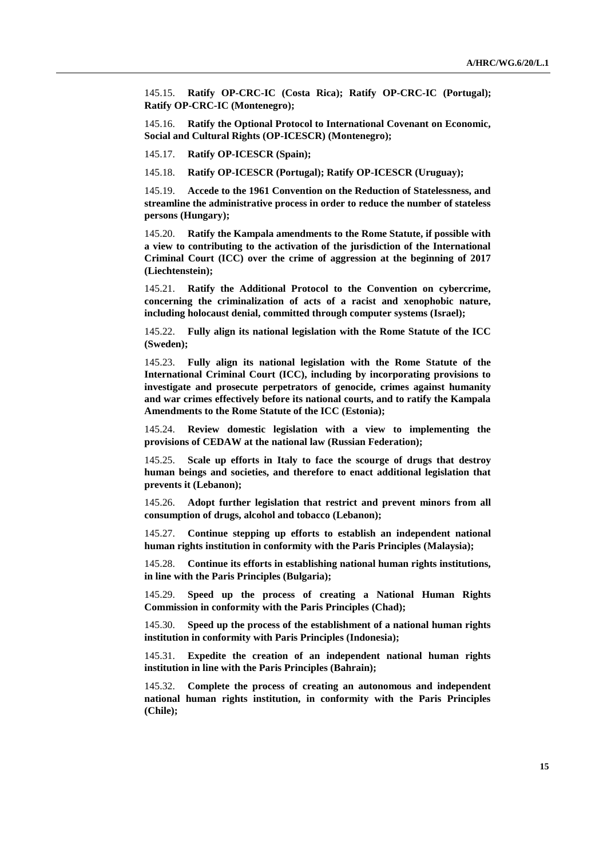145.15. **Ratify OP-CRC-IC (Costa Rica); Ratify OP-CRC-IC (Portugal); Ratify OP-CRC-IC (Montenegro);**

145.16. **Ratify the Optional Protocol to International Covenant on Economic, Social and Cultural Rights (OP-ICESCR) (Montenegro);**

145.17. **Ratify OP-ICESCR (Spain);**

145.18. **Ratify OP-ICESCR (Portugal); Ratify OP-ICESCR (Uruguay);**

145.19. **Accede to the 1961 Convention on the Reduction of Statelessness, and streamline the administrative process in order to reduce the number of stateless persons (Hungary);**

145.20. **Ratify the Kampala amendments to the Rome Statute, if possible with a view to contributing to the activation of the jurisdiction of the International Criminal Court (ICC) over the crime of aggression at the beginning of 2017 (Liechtenstein);**

145.21. **Ratify the Additional Protocol to the Convention on cybercrime, concerning the criminalization of acts of a racist and xenophobic nature, including holocaust denial, committed through computer systems (Israel);**

145.22. **Fully align its national legislation with the Rome Statute of the ICC (Sweden);**

145.23. **Fully align its national legislation with the Rome Statute of the International Criminal Court (ICC), including by incorporating provisions to investigate and prosecute perpetrators of genocide, crimes against humanity and war crimes effectively before its national courts, and to ratify the Kampala Amendments to the Rome Statute of the ICC (Estonia);**

145.24. **Review domestic legislation with a view to implementing the provisions of CEDAW at the national law (Russian Federation);**

145.25. **Scale up efforts in Italy to face the scourge of drugs that destroy human beings and societies, and therefore to enact additional legislation that prevents it (Lebanon);**

145.26. **Adopt further legislation that restrict and prevent minors from all consumption of drugs, alcohol and tobacco (Lebanon);**

145.27. **Continue stepping up efforts to establish an independent national human rights institution in conformity with the Paris Principles (Malaysia);** 

145.28. **Continue its efforts in establishing national human rights institutions, in line with the Paris Principles (Bulgaria);**

145.29. **Speed up the process of creating a National Human Rights Commission in conformity with the Paris Principles (Chad);**

145.30. **Speed up the process of the establishment of a national human rights institution in conformity with Paris Principles (Indonesia);**

145.31. **Expedite the creation of an independent national human rights institution in line with the Paris Principles (Bahrain);**

145.32. **Complete the process of creating an autonomous and independent national human rights institution, in conformity with the Paris Principles (Chile);**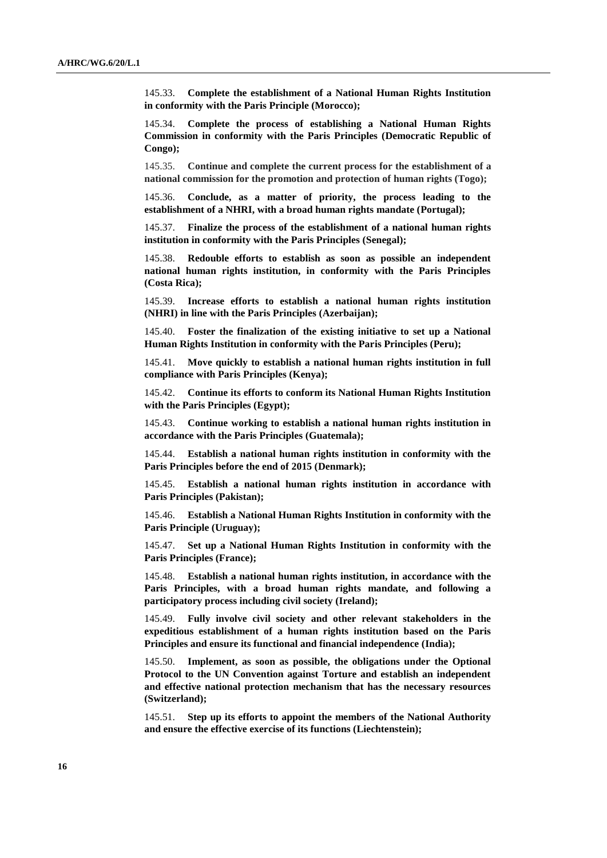145.33. **Complete the establishment of a National Human Rights Institution in conformity with the Paris Principle (Morocco);**

145.34. **Complete the process of establishing a National Human Rights Commission in conformity with the Paris Principles (Democratic Republic of Congo);**

145.35. **Continue and complete the current process for the establishment of a national commission for the promotion and protection of human rights (Togo);**

145.36. **Conclude, as a matter of priority, the process leading to the establishment of a NHRI, with a broad human rights mandate (Portugal);**

145.37. **Finalize the process of the establishment of a national human rights institution in conformity with the Paris Principles (Senegal);**

145.38. **Redouble efforts to establish as soon as possible an independent national human rights institution, in conformity with the Paris Principles (Costa Rica);**

145.39. **Increase efforts to establish a national human rights institution (NHRI) in line with the Paris Principles (Azerbaijan);**

145.40. **Foster the finalization of the existing initiative to set up a National Human Rights Institution in conformity with the Paris Principles (Peru);**

145.41. **Move quickly to establish a national human rights institution in full compliance with Paris Principles (Kenya);**

145.42. **Continue its efforts to conform its National Human Rights Institution with the Paris Principles (Egypt);**

145.43. **Continue working to establish a national human rights institution in accordance with the Paris Principles (Guatemala);**

145.44. **Establish a national human rights institution in conformity with the Paris Principles before the end of 2015 (Denmark);**

145.45. **Establish a national human rights institution in accordance with Paris Principles (Pakistan);**

145.46. **Establish a National Human Rights Institution in conformity with the Paris Principle (Uruguay);**

145.47. **Set up a National Human Rights Institution in conformity with the Paris Principles (France);**

145.48. **Establish a national human rights institution, in accordance with the Paris Principles, with a broad human rights mandate, and following a participatory process including civil society (Ireland);**

145.49. **Fully involve civil society and other relevant stakeholders in the expeditious establishment of a human rights institution based on the Paris Principles and ensure its functional and financial independence (India);**

145.50. **Implement, as soon as possible, the obligations under the Optional Protocol to the UN Convention against Torture and establish an independent and effective national protection mechanism that has the necessary resources (Switzerland);**

145.51. **Step up its efforts to appoint the members of the National Authority and ensure the effective exercise of its functions (Liechtenstein);**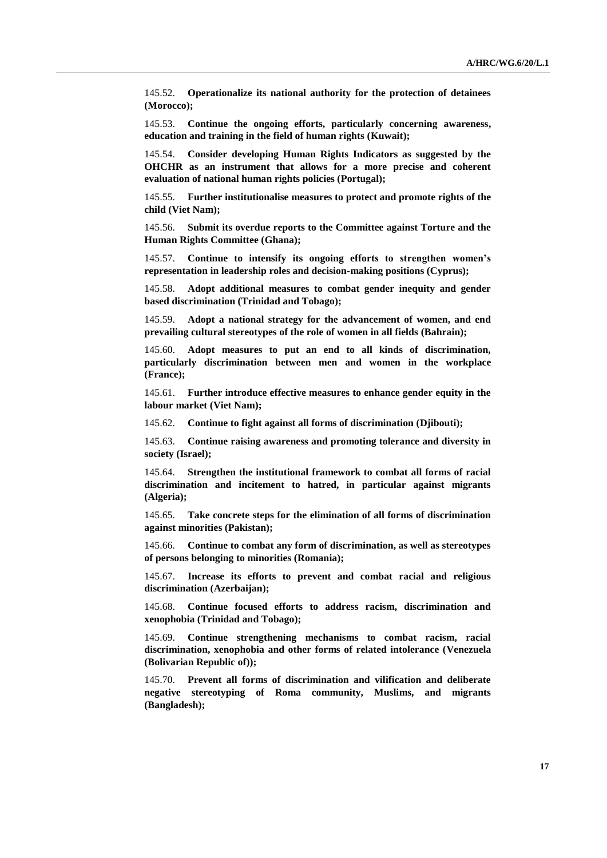145.52. **Operationalize its national authority for the protection of detainees (Morocco);**

145.53. **Continue the ongoing efforts, particularly concerning awareness, education and training in the field of human rights (Kuwait);**

145.54. **Consider developing Human Rights Indicators as suggested by the OHCHR as an instrument that allows for a more precise and coherent evaluation of national human rights policies (Portugal);**

145.55. **Further institutionalise measures to protect and promote rights of the child (Viet Nam);**

145.56. **Submit its overdue reports to the Committee against Torture and the Human Rights Committee (Ghana);**

145.57. **Continue to intensify its ongoing efforts to strengthen women's representation in leadership roles and decision-making positions (Cyprus);**

145.58. **Adopt additional measures to combat gender inequity and gender based discrimination (Trinidad and Tobago);**

145.59. **Adopt a national strategy for the advancement of women, and end prevailing cultural stereotypes of the role of women in all fields (Bahrain);**

145.60. **Adopt measures to put an end to all kinds of discrimination, particularly discrimination between men and women in the workplace (France);**

145.61. **Further introduce effective measures to enhance gender equity in the labour market (Viet Nam);**

145.62. **Continue to fight against all forms of discrimination (Djibouti);**

145.63. **Continue raising awareness and promoting tolerance and diversity in society (Israel);**

145.64. **Strengthen the institutional framework to combat all forms of racial discrimination and incitement to hatred, in particular against migrants (Algeria);**

145.65. **Take concrete steps for the elimination of all forms of discrimination against minorities (Pakistan);**

145.66. **Continue to combat any form of discrimination, as well as stereotypes of persons belonging to minorities (Romania);**

145.67. **Increase its efforts to prevent and combat racial and religious discrimination (Azerbaijan);**

145.68. **Continue focused efforts to address racism, discrimination and xenophobia (Trinidad and Tobago);**

145.69. **Continue strengthening mechanisms to combat racism, racial discrimination, xenophobia and other forms of related intolerance (Venezuela (Bolivarian Republic of));**

145.70. **Prevent all forms of discrimination and vilification and deliberate negative stereotyping of Roma community, Muslims, and migrants (Bangladesh);**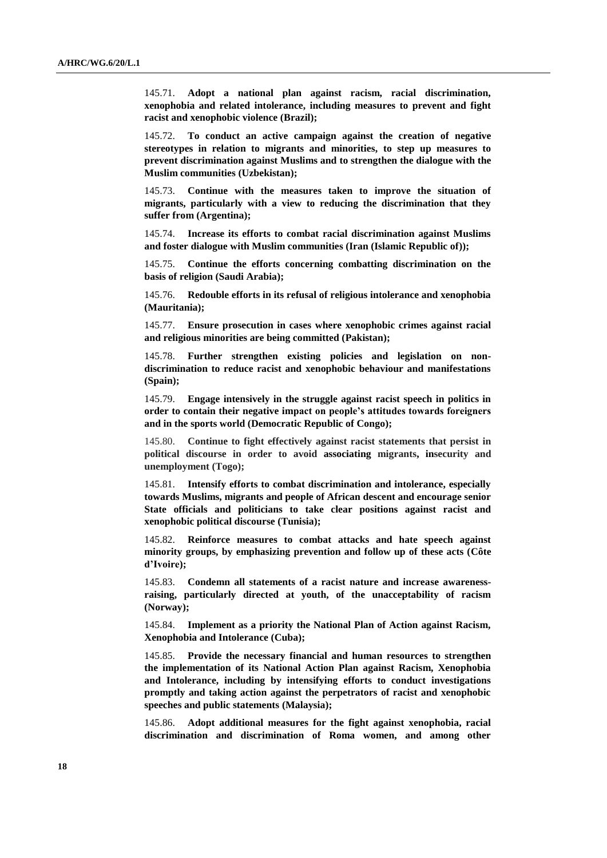145.71. **Adopt a national plan against racism, racial discrimination, xenophobia and related intolerance, including measures to prevent and fight racist and xenophobic violence (Brazil);**

145.72. **To conduct an active campaign against the creation of negative stereotypes in relation to migrants and minorities, to step up measures to prevent discrimination against Muslims and to strengthen the dialogue with the Muslim communities (Uzbekistan);**

145.73. **Continue with the measures taken to improve the situation of migrants, particularly with a view to reducing the discrimination that they suffer from (Argentina);**

145.74. **Increase its efforts to combat racial discrimination against Muslims and foster dialogue with Muslim communities (Iran (Islamic Republic of));** 

145.75. **Continue the efforts concerning combatting discrimination on the basis of religion (Saudi Arabia);**

145.76. **Redouble efforts in its refusal of religious intolerance and xenophobia (Mauritania);**

145.77. **Ensure prosecution in cases where xenophobic crimes against racial and religious minorities are being committed (Pakistan);**

145.78. **Further strengthen existing policies and legislation on nondiscrimination to reduce racist and xenophobic behaviour and manifestations (Spain);**

145.79. **Engage intensively in the struggle against racist speech in politics in order to contain their negative impact on people's attitudes towards foreigners and in the sports world (Democratic Republic of Congo);**

145.80. **Continue to fight effectively against racist statements that persist in political discourse in order to avoid associating migrants, insecurity and unemployment (Togo);**

145.81. **Intensify efforts to combat discrimination and intolerance, especially towards Muslims, migrants and people of African descent and encourage senior State officials and politicians to take clear positions against racist and xenophobic political discourse (Tunisia);**

145.82. **Reinforce measures to combat attacks and hate speech against minority groups, by emphasizing prevention and follow up of these acts (Côte d'Ivoire);**

145.83. **Condemn all statements of a racist nature and increase awarenessraising, particularly directed at youth, of the unacceptability of racism (Norway);**

145.84. **Implement as a priority the National Plan of Action against Racism, Xenophobia and Intolerance (Cuba);**

145.85. **Provide the necessary financial and human resources to strengthen the implementation of its National Action Plan against Racism, Xenophobia and Intolerance, including by intensifying efforts to conduct investigations promptly and taking action against the perpetrators of racist and xenophobic speeches and public statements (Malaysia);**

Adopt additional measures for the fight against xenophobia, racial **discrimination and discrimination of Roma women, and among other**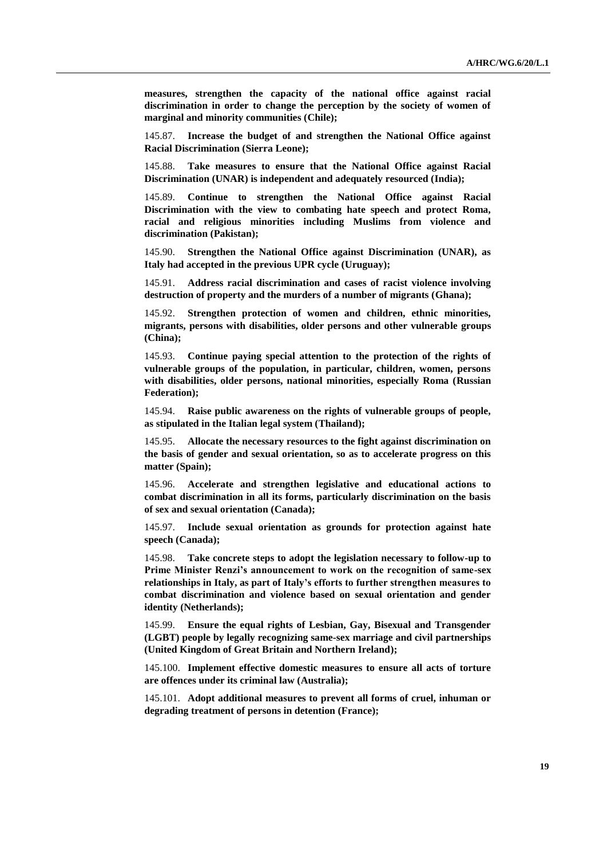**measures, strengthen the capacity of the national office against racial discrimination in order to change the perception by the society of women of marginal and minority communities (Chile);**

145.87. **Increase the budget of and strengthen the National Office against Racial Discrimination (Sierra Leone);**

145.88. **Take measures to ensure that the National Office against Racial Discrimination (UNAR) is independent and adequately resourced (India);**

145.89. **Continue to strengthen the National Office against Racial Discrimination with the view to combating hate speech and protect Roma, racial and religious minorities including Muslims from violence and discrimination (Pakistan);**

145.90. **Strengthen the National Office against Discrimination (UNAR), as Italy had accepted in the previous UPR cycle (Uruguay);**

145.91. **Address racial discrimination and cases of racist violence involving destruction of property and the murders of a number of migrants (Ghana);**

145.92. **Strengthen protection of women and children, ethnic minorities, migrants, persons with disabilities, older persons and other vulnerable groups (China);**

145.93. **Continue paying special attention to the protection of the rights of vulnerable groups of the population, in particular, children, women, persons with disabilities, older persons, national minorities, especially Roma (Russian Federation);**

145.94. **Raise public awareness on the rights of vulnerable groups of people, as stipulated in the Italian legal system (Thailand);**

145.95. **Allocate the necessary resources to the fight against discrimination on the basis of gender and sexual orientation, so as to accelerate progress on this matter (Spain);**

145.96. **Accelerate and strengthen legislative and educational actions to combat discrimination in all its forms, particularly discrimination on the basis of sex and sexual orientation (Canada);**

145.97. **Include sexual orientation as grounds for protection against hate speech (Canada);**

145.98. **Take concrete steps to adopt the legislation necessary to follow-up to Prime Minister Renzi's announcement to work on the recognition of same-sex relationships in Italy, as part of Italy's efforts to further strengthen measures to combat discrimination and violence based on sexual orientation and gender identity (Netherlands);**

145.99. **Ensure the equal rights of Lesbian, Gay, Bisexual and Transgender (LGBT) people by legally recognizing same-sex marriage and civil partnerships (United Kingdom of Great Britain and Northern Ireland);**

145.100. **Implement effective domestic measures to ensure all acts of torture are offences under its criminal law (Australia);**

145.101. **Adopt additional measures to prevent all forms of cruel, inhuman or degrading treatment of persons in detention (France);**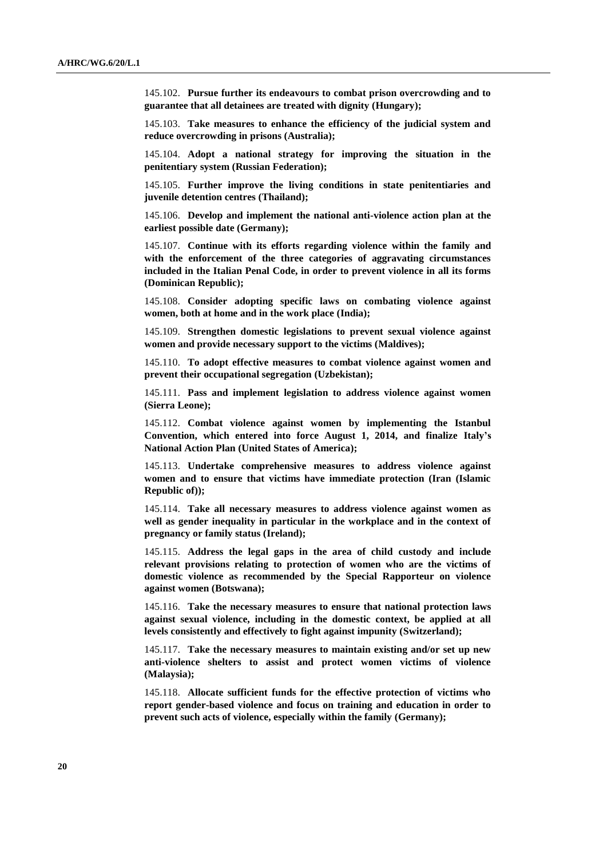145.102. **Pursue further its endeavours to combat prison overcrowding and to guarantee that all detainees are treated with dignity (Hungary);**

145.103. **Take measures to enhance the efficiency of the judicial system and reduce overcrowding in prisons (Australia);**

145.104. **Adopt a national strategy for improving the situation in the penitentiary system (Russian Federation);**

145.105. **Further improve the living conditions in state penitentiaries and juvenile detention centres (Thailand);**

145.106. **Develop and implement the national anti-violence action plan at the earliest possible date (Germany);**

145.107. **Continue with its efforts regarding violence within the family and with the enforcement of the three categories of aggravating circumstances included in the Italian Penal Code, in order to prevent violence in all its forms (Dominican Republic);**

145.108. **Consider adopting specific laws on combating violence against women, both at home and in the work place (India);**

145.109. **Strengthen domestic legislations to prevent sexual violence against women and provide necessary support to the victims (Maldives);**

145.110. **To adopt effective measures to combat violence against women and prevent their occupational segregation (Uzbekistan);**

145.111. **Pass and implement legislation to address violence against women (Sierra Leone);**

145.112. **Combat violence against women by implementing the Istanbul Convention, which entered into force August 1, 2014, and finalize Italy's National Action Plan (United States of America);**

145.113. **Undertake comprehensive measures to address violence against women and to ensure that victims have immediate protection (Iran (Islamic Republic of));**

145.114. **Take all necessary measures to address violence against women as well as gender inequality in particular in the workplace and in the context of pregnancy or family status (Ireland);**

145.115. **Address the legal gaps in the area of child custody and include relevant provisions relating to protection of women who are the victims of domestic violence as recommended by the Special Rapporteur on violence against women (Botswana);**

145.116. **Take the necessary measures to ensure that national protection laws against sexual violence, including in the domestic context, be applied at all levels consistently and effectively to fight against impunity (Switzerland);**

145.117. **Take the necessary measures to maintain existing and/or set up new anti-violence shelters to assist and protect women victims of violence (Malaysia);**

145.118. **Allocate sufficient funds for the effective protection of victims who report gender-based violence and focus on training and education in order to prevent such acts of violence, especially within the family (Germany);**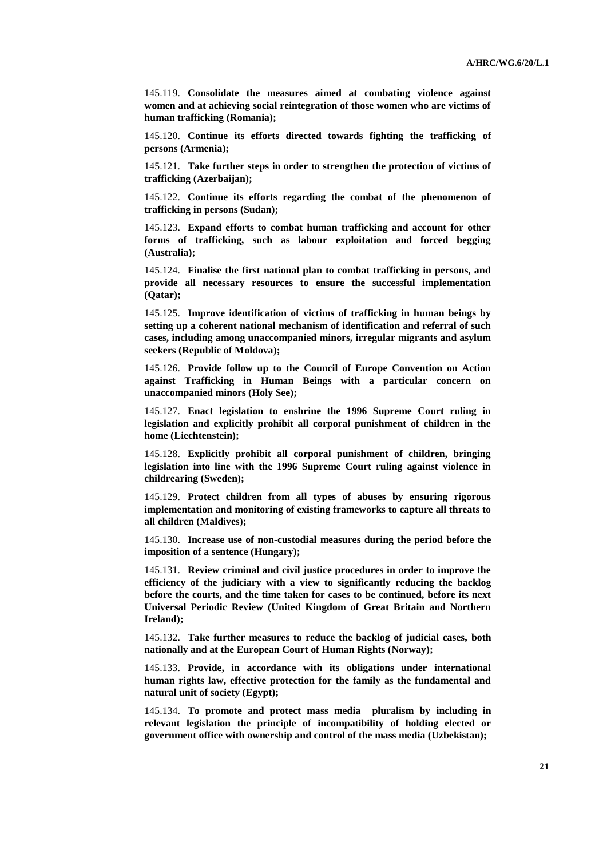145.119. **Consolidate the measures aimed at combating violence against women and at achieving social reintegration of those women who are victims of human trafficking (Romania);**

145.120. **Continue its efforts directed towards fighting the trafficking of persons (Armenia);**

145.121. **Take further steps in order to strengthen the protection of victims of trafficking (Azerbaijan);**

145.122. **Continue its efforts regarding the combat of the phenomenon of trafficking in persons (Sudan);**

145.123. **Expand efforts to combat human trafficking and account for other forms of trafficking, such as labour exploitation and forced begging (Australia);**

145.124. **Finalise the first national plan to combat trafficking in persons, and provide all necessary resources to ensure the successful implementation (Qatar);**

145.125. **Improve identification of victims of trafficking in human beings by setting up a coherent national mechanism of identification and referral of such cases, including among unaccompanied minors, irregular migrants and asylum seekers (Republic of Moldova);**

145.126. **Provide follow up to the Council of Europe Convention on Action against Trafficking in Human Beings with a particular concern on unaccompanied minors (Holy See);**

145.127. **Enact legislation to enshrine the 1996 Supreme Court ruling in legislation and explicitly prohibit all corporal punishment of children in the home (Liechtenstein);**

145.128. **Explicitly prohibit all corporal punishment of children, bringing legislation into line with the 1996 Supreme Court ruling against violence in childrearing (Sweden);**

145.129. **Protect children from all types of abuses by ensuring rigorous implementation and monitoring of existing frameworks to capture all threats to all children (Maldives);**

145.130. **Increase use of non-custodial measures during the period before the imposition of a sentence (Hungary);**

145.131. **Review criminal and civil justice procedures in order to improve the efficiency of the judiciary with a view to significantly reducing the backlog before the courts, and the time taken for cases to be continued, before its next Universal Periodic Review (United Kingdom of Great Britain and Northern Ireland);**

145.132. **Take further measures to reduce the backlog of judicial cases, both nationally and at the European Court of Human Rights (Norway);**

145.133. **Provide, in accordance with its obligations under international human rights law, effective protection for the family as the fundamental and natural unit of society (Egypt);**

145.134. **To promote and protect mass media pluralism by including in relevant legislation the principle of incompatibility of holding elected or government office with ownership and control of the mass media (Uzbekistan);**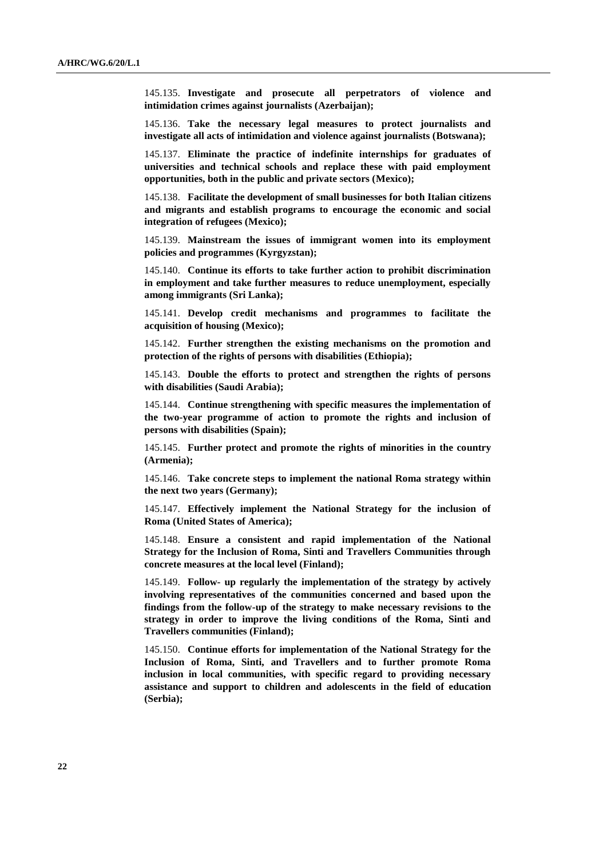145.135. **Investigate and prosecute all perpetrators of violence and intimidation crimes against journalists (Azerbaijan);**

145.136. **Take the necessary legal measures to protect journalists and investigate all acts of intimidation and violence against journalists (Botswana);**

145.137. **Eliminate the practice of indefinite internships for graduates of universities and technical schools and replace these with paid employment opportunities, both in the public and private sectors (Mexico);**

145.138. **Facilitate the development of small businesses for both Italian citizens and migrants and establish programs to encourage the economic and social integration of refugees (Mexico);**

145.139. **Mainstream the issues of immigrant women into its employment policies and programmes (Kyrgyzstan);**

145.140. **Continue its efforts to take further action to prohibit discrimination in employment and take further measures to reduce unemployment, especially among immigrants (Sri Lanka);**

145.141. **Develop credit mechanisms and programmes to facilitate the acquisition of housing (Mexico);**

145.142. **Further strengthen the existing mechanisms on the promotion and protection of the rights of persons with disabilities (Ethiopia);**

145.143. **Double the efforts to protect and strengthen the rights of persons with disabilities (Saudi Arabia);**

145.144. **Continue strengthening with specific measures the implementation of the two-year programme of action to promote the rights and inclusion of persons with disabilities (Spain);**

145.145. **Further protect and promote the rights of minorities in the country (Armenia);**

145.146. **Take concrete steps to implement the national Roma strategy within the next two years (Germany);**

145.147. **Effectively implement the National Strategy for the inclusion of Roma (United States of America);**

145.148. **Ensure a consistent and rapid implementation of the National Strategy for the Inclusion of Roma, Sinti and Travellers Communities through concrete measures at the local level (Finland);**

145.149. **Follow- up regularly the implementation of the strategy by actively involving representatives of the communities concerned and based upon the findings from the follow-up of the strategy to make necessary revisions to the strategy in order to improve the living conditions of the Roma, Sinti and Travellers communities (Finland);**

145.150. **Continue efforts for implementation of the National Strategy for the Inclusion of Roma, Sinti, and Travellers and to further promote Roma inclusion in local communities, with specific regard to providing necessary assistance and support to children and adolescents in the field of education (Serbia);**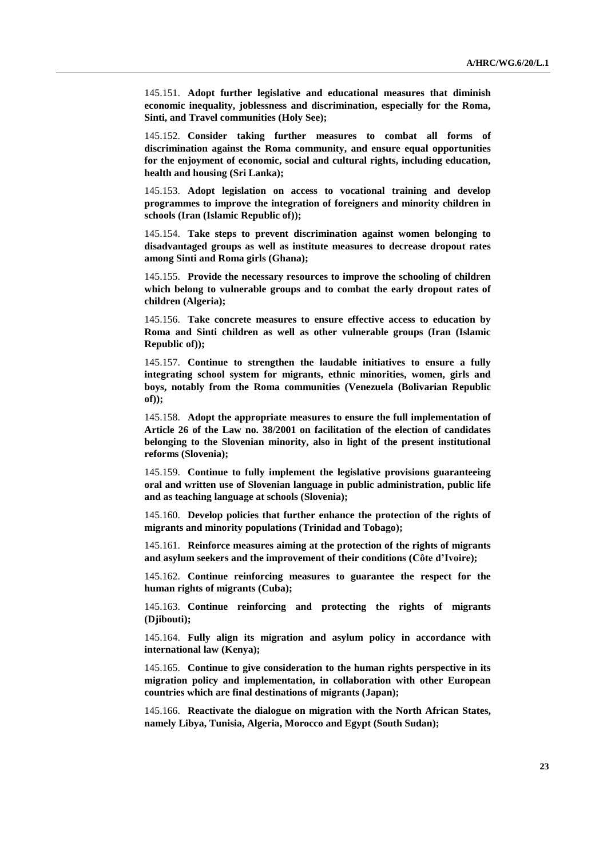145.151. **Adopt further legislative and educational measures that diminish economic inequality, joblessness and discrimination, especially for the Roma, Sinti, and Travel communities (Holy See);**

145.152. **Consider taking further measures to combat all forms of discrimination against the Roma community, and ensure equal opportunities for the enjoyment of economic, social and cultural rights, including education, health and housing (Sri Lanka);**

145.153. **Adopt legislation on access to vocational training and develop programmes to improve the integration of foreigners and minority children in schools (Iran (Islamic Republic of));**

145.154. **Take steps to prevent discrimination against women belonging to disadvantaged groups as well as institute measures to decrease dropout rates among Sinti and Roma girls (Ghana);**

145.155. **Provide the necessary resources to improve the schooling of children which belong to vulnerable groups and to combat the early dropout rates of children (Algeria);**

145.156. **Take concrete measures to ensure effective access to education by Roma and Sinti children as well as other vulnerable groups (Iran (Islamic Republic of));**

145.157. **Continue to strengthen the laudable initiatives to ensure a fully integrating school system for migrants, ethnic minorities, women, girls and boys, notably from the Roma communities (Venezuela (Bolivarian Republic of));**

145.158. **Adopt the appropriate measures to ensure the full implementation of Article 26 of the Law no. 38/2001 on facilitation of the election of candidates belonging to the Slovenian minority, also in light of the present institutional reforms (Slovenia);** 

145.159. **Continue to fully implement the legislative provisions guaranteeing oral and written use of Slovenian language in public administration, public life and as teaching language at schools (Slovenia);** 

145.160. **Develop policies that further enhance the protection of the rights of migrants and minority populations (Trinidad and Tobago);**

145.161. **Reinforce measures aiming at the protection of the rights of migrants and asylum seekers and the improvement of their conditions (Côte d'Ivoire);**

145.162. **Continue reinforcing measures to guarantee the respect for the human rights of migrants (Cuba);**

145.163. **Continue reinforcing and protecting the rights of migrants (Djibouti);**

145.164. **Fully align its migration and asylum policy in accordance with international law (Kenya);** 

145.165. **Continue to give consideration to the human rights perspective in its migration policy and implementation, in collaboration with other European countries which are final destinations of migrants (Japan);** 

145.166. **Reactivate the dialogue on migration with the North African States, namely Libya, Tunisia, Algeria, Morocco and Egypt (South Sudan);**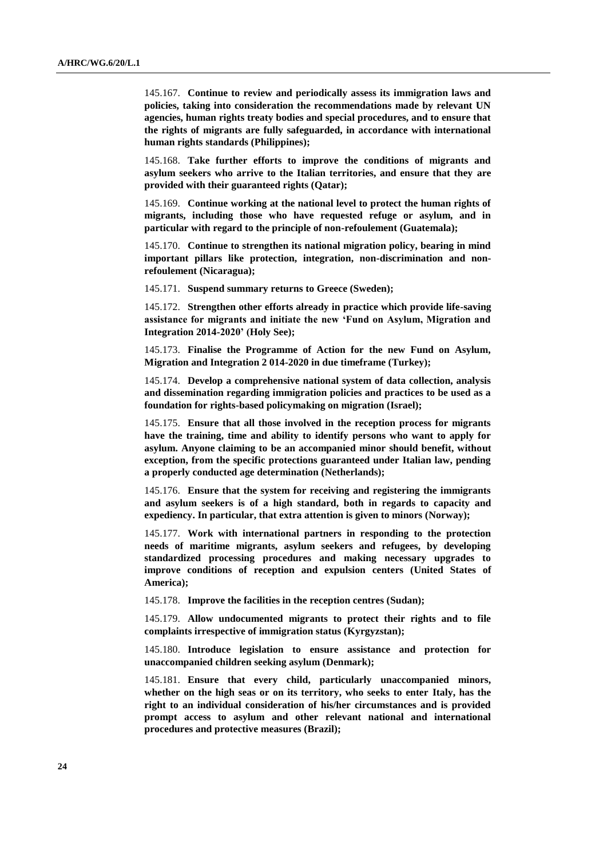145.167. **Continue to review and periodically assess its immigration laws and policies, taking into consideration the recommendations made by relevant UN agencies, human rights treaty bodies and special procedures, and to ensure that the rights of migrants are fully safeguarded, in accordance with international human rights standards (Philippines);**

145.168. **Take further efforts to improve the conditions of migrants and asylum seekers who arrive to the Italian territories, and ensure that they are provided with their guaranteed rights (Qatar);** 

145.169. **Continue working at the national level to protect the human rights of migrants, including those who have requested refuge or asylum, and in particular with regard to the principle of non-refoulement (Guatemala);**

145.170. **Continue to strengthen its national migration policy, bearing in mind important pillars like protection, integration, non-discrimination and nonrefoulement (Nicaragua);**

145.171. **Suspend summary returns to Greece (Sweden);**

145.172. **Strengthen other efforts already in practice which provide life-saving assistance for migrants and initiate the new 'Fund on Asylum, Migration and Integration 2014-2020' (Holy See);**

145.173. **Finalise the Programme of Action for the new Fund on Asylum, Migration and Integration 2 014-2020 in due timeframe (Turkey);**

145.174. **Develop a comprehensive national system of data collection, analysis and dissemination regarding immigration policies and practices to be used as a foundation for rights-based policymaking on migration (Israel);** 

145.175. **Ensure that all those involved in the reception process for migrants have the training, time and ability to identify persons who want to apply for asylum. Anyone claiming to be an accompanied minor should benefit, without exception, from the specific protections guaranteed under Italian law, pending a properly conducted age determination (Netherlands);**

145.176. **Ensure that the system for receiving and registering the immigrants and asylum seekers is of a high standard, both in regards to capacity and expediency. In particular, that extra attention is given to minors (Norway);**

145.177. **Work with international partners in responding to the protection needs of maritime migrants, asylum seekers and refugees, by developing standardized processing procedures and making necessary upgrades to improve conditions of reception and expulsion centers (United States of America);**

145.178. **Improve the facilities in the reception centres (Sudan);**

145.179. **Allow undocumented migrants to protect their rights and to file complaints irrespective of immigration status (Kyrgyzstan);**

145.180. **Introduce legislation to ensure assistance and protection for unaccompanied children seeking asylum (Denmark);**

145.181. **Ensure that every child, particularly unaccompanied minors, whether on the high seas or on its territory, who seeks to enter Italy, has the right to an individual consideration of his/her circumstances and is provided prompt access to asylum and other relevant national and international procedures and protective measures (Brazil);**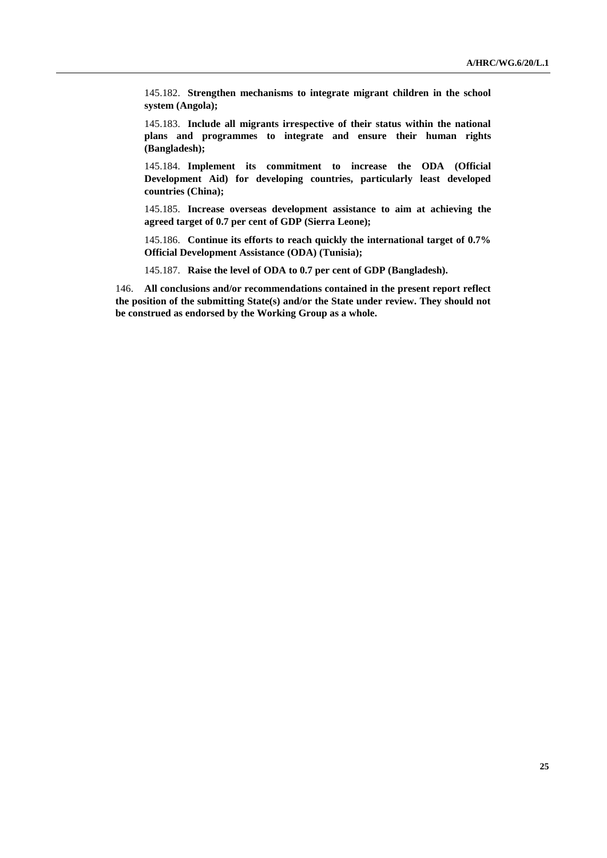145.182. **Strengthen mechanisms to integrate migrant children in the school system (Angola);**

145.183. **Include all migrants irrespective of their status within the national plans and programmes to integrate and ensure their human rights (Bangladesh);**

145.184. **Implement its commitment to increase the ODA (Official Development Aid) for developing countries, particularly least developed countries (China);**

145.185. **Increase overseas development assistance to aim at achieving the agreed target of 0.7 per cent of GDP (Sierra Leone);**

145.186. **Continue its efforts to reach quickly the international target of 0.7% Official Development Assistance (ODA) (Tunisia);**

145.187. **Raise the level of ODA to 0.7 per cent of GDP (Bangladesh).**

146. **All conclusions and/or recommendations contained in the present report reflect the position of the submitting State(s) and/or the State under review. They should not be construed as endorsed by the Working Group as a whole.**